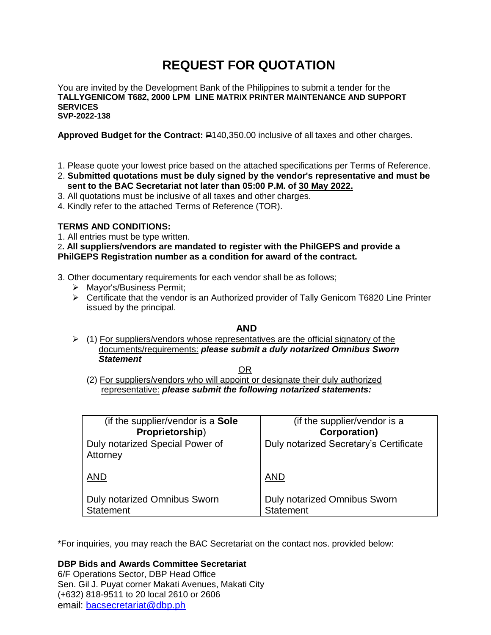# **REQUEST FOR QUOTATION**

You are invited by the Development Bank of the Philippines to submit a tender for the **TALLYGENICOM T682, 2000 LPM LINE MATRIX PRINTER MAINTENANCE AND SUPPORT SERVICES SVP-2022-138**

**Approved Budget for the Contract:** P140,350.00 inclusive of all taxes and other charges.

- 1. Please quote your lowest price based on the attached specifications per Terms of Reference.
- 2. **Submitted quotations must be duly signed by the vendor's representative and must be sent to the BAC Secretariat not later than 05:00 P.M. of 30 May 2022.**
- 3. All quotations must be inclusive of all taxes and other charges.
- 4. Kindly refer to the attached Terms of Reference (TOR).

# **TERMS AND CONDITIONS:**

1. All entries must be type written.

2**. All suppliers/vendors are mandated to register with the PhilGEPS and provide a PhilGEPS Registration number as a condition for award of the contract.**

- 3. Other documentary requirements for each vendor shall be as follows;
	- > Mayor's/Business Permit;
	- $\triangleright$  Certificate that the vendor is an Authorized provider of Tally Genicom T6820 Line Printer issued by the principal.

# **AND**

 $(1)$  For suppliers/vendors whose representatives are the official signatory of the documents/requirements: *please submit a duly notarized Omnibus Sworn Statement*

<u>OR Starting and the Starting OR Starting</u>

(2) For suppliers/vendors who will appoint or designate their duly authorized representative: *please submit the following notarized statements:*

| (if the supplier/vendor is a <b>Sole</b> )  | (if the supplier/vendor is a           |
|---------------------------------------------|----------------------------------------|
| Proprietorship)                             | <b>Corporation)</b>                    |
| Duly notarized Special Power of<br>Attorney | Duly notarized Secretary's Certificate |
| <b>AND</b>                                  | <b>AND</b>                             |
| <b>Duly notarized Omnibus Sworn</b>         | <b>Duly notarized Omnibus Sworn</b>    |
| <b>Statement</b>                            | <b>Statement</b>                       |

\*For inquiries, you may reach the BAC Secretariat on the contact nos. provided below:

**DBP Bids and Awards Committee Secretariat** 

6/F Operations Sector, DBP Head Office Sen. Gil J. Puyat corner Makati Avenues, Makati City (+632) 818-9511 to 20 local 2610 or 2606 email: [bacsecretariat@dbp.ph](mailto:bacsecretariat@dbp.ph)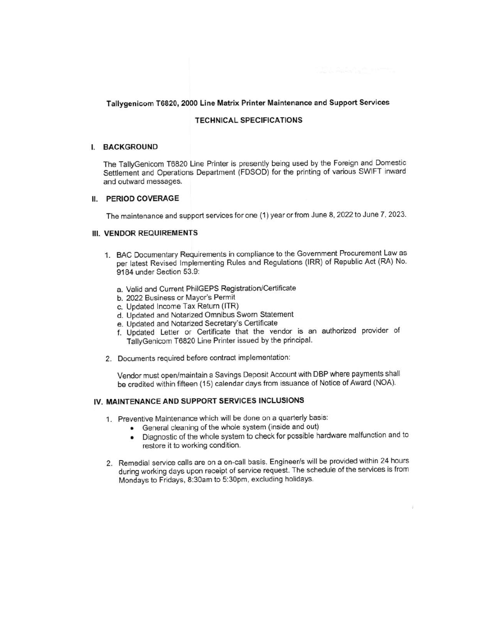# **TECHNICAL SPECIFICATIONS**

#### I. BACKGROUND

The TallyGenicom T6820 Line Printer is presently being used by the Foreign and Domestic Settlement and Operations Department (FDSOD) for the printing of various SWIFT inward and outward messages.

#### II. PERIOD COVERAGE

The maintenance and support services for one (1) year or from June 8, 2022 to June 7, 2023.

#### III. VENDOR REQUIREMENTS

- 1. BAC Documentary Requirements in compliance to the Government Procurement Law as per latest Revised Implementing Rules and Regulations (IRR) of Republic Act (RA) No. 9184 under Section 53.9:
	- a. Valid and Current PhilGEPS Registration/Certificate
	- b. 2022 Business or Mayor's Permit
	- c. Updated Income Tax Return (ITR)
	- d. Updated and Notarized Omnibus Sworn Statement
	- e. Updated and Notarized Secretary's Certificate
	- f. Updated Letter or Certificate that the vendor is an authorized provider of TallyGenicom T6820 Line Printer issued by the principal.
- 2. Documents required before contract implementation:

Vendor must open/maintain a Savings Deposit Account with DBP where payments shall be credited within fifteen (15) calendar days from issuance of Notice of Award (NOA).

# IV. MAINTENANCE AND SUPPORT SERVICES INCLUSIONS

- 1. Preventive Maintenance which will be done on a quarterly basis:
	- General cleaning of the whole system (inside and out)
	- Diagnostic of the whole system to check for possible hardware malfunction and to  $\bullet$ restore it to working condition.
- 2. Remedial service calls are on a on-call basis. Engineer/s will be provided within 24 hours during working days upon receipt of service request. The schedule of the services is from Mondays to Fridays, 8:30am to 5:30pm, excluding holidays.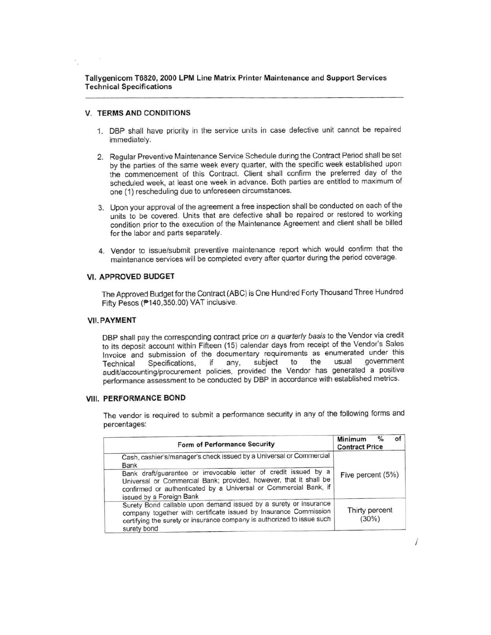Tallygenicom T6820, 2000 LPM Line Matrix Printer Maintenance and Support Services **Technical Specifications** 

#### **V. TERMS AND CONDITIONS**

- 1. DBP shall have priority in the service units in case defective unit cannot be repaired immediately.
- 2. Regular Preventive Maintenance Service Schedule during the Contract Period shall be set by the parties of the same week every quarter, with the specific week established upon the commencement of this Contract. Client shall confirm the preferred day of the scheduled week, at least one week in advance. Both parties are entitled to maximum of one (1) rescheduling due to unforeseen circumstances.
- 3. Upon your approval of the agreement a free inspection shall be conducted on each of the units to be covered. Units that are defective shall be repaired or restored to working condition prior to the execution of the Maintenance Agreement and client shall be billed for the labor and parts separately.
- 4. Vendor to issue/submit preventive maintenance report which would confirm that the maintenance services will be completed every after quarter during the period coverage.

#### **VI. APPROVED BUDGET**

The Approved Budget for the Contract (ABC) is One Hundred Forty Thousand Three Hundred Fifty Pesos (P140,350.00) VAT inclusive.

#### **VII. PAYMENT**

DBP shall pay the corresponding contract price on a quarterly basis to the Vendor via credit to its deposit account within Fifteen (15) calendar days from receipt of the Vendor's Sales Invoice and submission of the documentary requirements as enumerated under this government usual subject to the if any, Technical Specifications, audit/accounting/procurement policies, provided the Vendor has generated a positive performance assessment to be conducted by DBP in accordance with established metrics.

#### **VIII. PERFORMANCE BOND**

The vendor is required to submit a performance security in any of the following forms and percentages:

| Form of Performance Security                                                                                                                                                                                                          | of <sub>1</sub><br>$\%$<br>Minimum<br><b>Contract Price</b> |
|---------------------------------------------------------------------------------------------------------------------------------------------------------------------------------------------------------------------------------------|-------------------------------------------------------------|
| Cash, cashier's/manager's check issued by a Universal or Commercial<br>Bank                                                                                                                                                           |                                                             |
| Bank draft/guarantee or irrevocable letter of credit issued by a<br>Universal or Commercial Bank; provided, however, that it shall be<br>confirmed or authenticated by a Universal or Commercial Bank, if<br>issued by a Foreign Bank | Five percent (5%)                                           |
| Surety Bond callable upon demand issued by a surety or insurance<br>company together with certificate issued by Insurance Commission<br>certifying the surety or insurance company is authorized to issue such<br>surety bond         | Thirty percent<br>$(30\%)$                                  |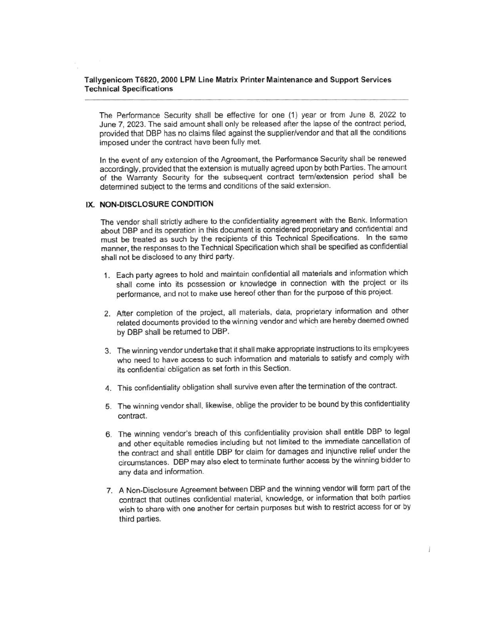## Tallygenicom T6820, 2000 LPM Line Matrix Printer Maintenance and Support Services **Technical Specifications**

The Performance Security shall be effective for one (1) year or from June 8, 2022 to June 7, 2023. The said amount shall only be released after the lapse of the contract period, provided that DBP has no claims filed against the supplier/vendor and that all the conditions imposed under the contract have been fully met.

In the event of any extension of the Agreement, the Performance Security shall be renewed accordingly, provided that the extension is mutually agreed upon by both Parties. The amount of the Warranty Security for the subsequent contract term/extension period shall be determined subject to the terms and conditions of the said extension.

## IX. NON-DISCLOSURE CONDITION

The vendor shall strictly adhere to the confidentiality agreement with the Bank. Information about DBP and its operation in this document is considered proprietary and confidential and must be treated as such by the recipients of this Technical Specifications. In the same manner, the responses to the Technical Specification which shall be specified as confidential shall not be disclosed to any third party.

- 1. Each party agrees to hold and maintain confidential all materials and information which shall come into its possession or knowledge in connection with the project or its performance, and not to make use hereof other than for the purpose of this project.
- 2. After completion of the project, all materials, data, proprietary information and other related documents provided to the winning vendor and which are hereby deemed owned by DBP shall be returned to DBP.
- 3. The winning vendor undertake that it shall make appropriate instructions to its employees who need to have access to such information and materials to satisfy and comply with its confidential obligation as set forth in this Section.
- 4. This confidentiality obligation shall survive even after the termination of the contract.
- 5. The winning vendor shall, likewise, oblige the provider to be bound by this confidentiality contract.
- 6. The winning vendor's breach of this confidentiality provision shall entitle DBP to legal and other equitable remedies including but not limited to the immediate cancellation of the contract and shall entitle DBP for claim for damages and injunctive relief under the circumstances. DBP may also elect to terminate further access by the winning bidder to any data and information.
- 7. A Non-Disclosure Agreement between DBP and the winning vendor will form part of the contract that outlines confidential material, knowledge, or information that both parties wish to share with one another for certain purposes but wish to restrict access for or by third parties.